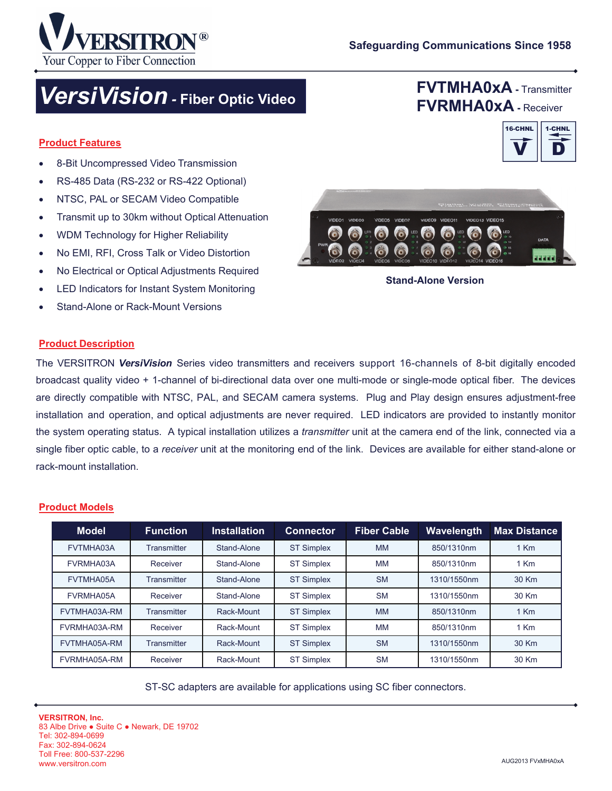

**FVTMHA0xA -** Transmitter **FVRMHA0xA -** Receiver

V

D 1-CHNL

16-CHNL

# *VersiVision -* **Fiber Optic Video**

#### **Product Features**

- 8-Bit Uncompressed Video Transmission
- RS-485 Data (RS-232 or RS-422 Optional)
- NTSC, PAL or SECAM Video Compatible
- Transmit up to 30km without Optical Attenuation
- WDM Technology for Higher Reliability
- No EMI, RFI, Cross Talk or Video Distortion
- No Electrical or Optical Adjustments Required
- LED Indicators for Instant System Monitoring
- Stand-Alone or Rack-Mount Versions



**Stand-Alone Version** 

#### **Product Description**

The VERSITRON *VersiVision* Series video transmitters and receivers support 16-channels of 8-bit digitally encoded broadcast quality video + 1-channel of bi-directional data over one multi-mode or single-mode optical fiber. The devices are directly compatible with NTSC, PAL, and SECAM camera systems. Plug and Play design ensures adjustment-free installation and operation, and optical adjustments are never required. LED indicators are provided to instantly monitor the system operating status. A typical installation utilizes a *transmitter* unit at the camera end of the link, connected via a single fiber optic cable, to a *receiver* unit at the monitoring end of the link. Devices are available for either stand-alone or rack-mount installation.

#### **Product Models**

| <b>Model</b> | <b>Function</b>    | <b>Installation</b> | <b>Connector</b>  | <b>Fiber Cable</b> | <b>Wavelength</b> | <b>Max Distance</b> |
|--------------|--------------------|---------------------|-------------------|--------------------|-------------------|---------------------|
| FVTMHA03A    | <b>Transmitter</b> | Stand-Alone         | <b>ST Simplex</b> | <b>MM</b>          | 850/1310nm        | $1$ Km              |
| FVRMHA03A    | Receiver           | Stand-Alone         | <b>ST Simplex</b> | MМ                 | 850/1310nm        | 1 Km                |
| FVTMHA05A    | <b>Transmitter</b> | Stand-Alone         | <b>ST Simplex</b> | <b>SM</b>          | 1310/1550nm       | 30 Km               |
| FVRMHA05A    | Receiver           | Stand-Alone         | <b>ST Simplex</b> | <b>SM</b>          | 1310/1550nm       | 30 Km               |
| FVTMHA03A-RM | <b>Transmitter</b> | Rack-Mount          | <b>ST Simplex</b> | <b>MM</b>          | 850/1310nm        | 1 Km                |
| FVRMHA03A-RM | Receiver           | Rack-Mount          | <b>ST Simplex</b> | <b>MM</b>          | 850/1310nm        | 1 Km                |
| FVTMHA05A-RM | <b>Transmitter</b> | Rack-Mount          | <b>ST Simplex</b> | <b>SM</b>          | 1310/1550nm       | 30 Km               |
| FVRMHA05A-RM | Receiver           | Rack-Mount          | <b>ST Simplex</b> | <b>SM</b>          | 1310/1550nm       | 30 Km               |

ST-SC adapters are available for applications using SC fiber connectors.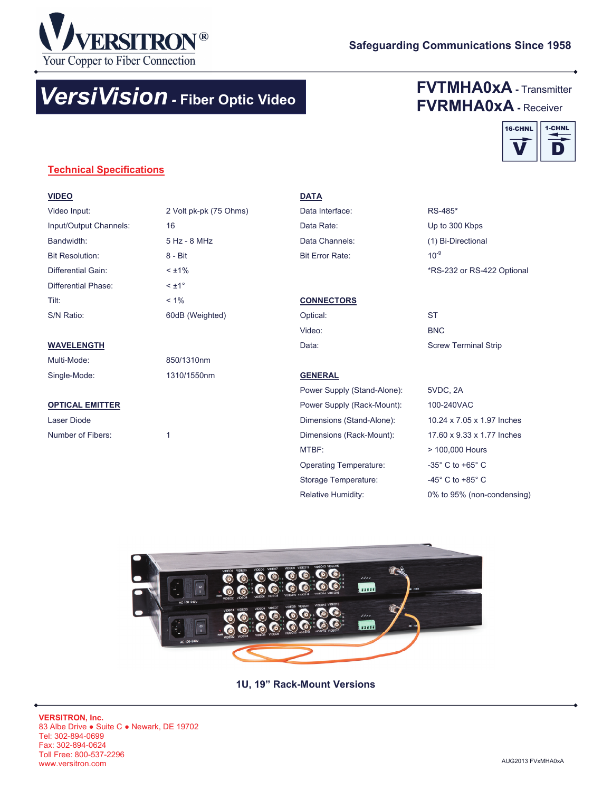

# *VersiVision -* **Fiber Optic Video**

# **FVTMHA0xA -** Transmitter **FVRMHA0xA -** Receiver



### **Technical Specifications**

#### **VIDEO**

| Video Input:           | 2 Volt pk-pk (75 Ohms) |
|------------------------|------------------------|
| Input/Output Channels: | 16                     |
| Bandwidth:             | $5 Hz - 8 MHz$         |
| <b>Bit Resolution:</b> | $8 -$ Rif              |
| Differential Gain:     | $< \pm 1\%$            |
| Differential Phase:    | $< +1^{\circ}$         |
| Tilt:                  | $< 1\%$                |
| S/N Ratio:             | 60dB (Weighted)        |

#### **WAVELENGTH**

Multi-Mode: 850/1310nm Single-Mode: 1310/1550nm

#### **OPTICAL EMITTER**

Laser Diode Number of Fibers: 1

## **DATA**

Bit Error Rate: 10<sup>-9</sup> Data Rate: Up to 300 Kbps Data Interface: RS-485\* Data Channels: (1) Bi-Directional

# \*RS-232 or RS-422 Optional

#### **CONNECTORS**

Optical: ST Video: BNC

Data: **Screw Terminal Strip** 

## **GENERAL** Power Supply (Stand-Alone): 5VDC, 2A Dimensions (Stand-Alone): 10.24 x 7.05 x 1.97 Inches Dimensions (Rack-Mount): 17.60 x 9.33 x 1.77 Inches MTBF: > 100,000 Hours Operating Temperature: -35° C to +65° C Power Supply (Rack-Mount): 100-240VAC

Storage Temperature: 45° C to +85° C Relative Humidity: 0% to 95% (non-condensing)



**1U, 19" Rack-Mount Versions**